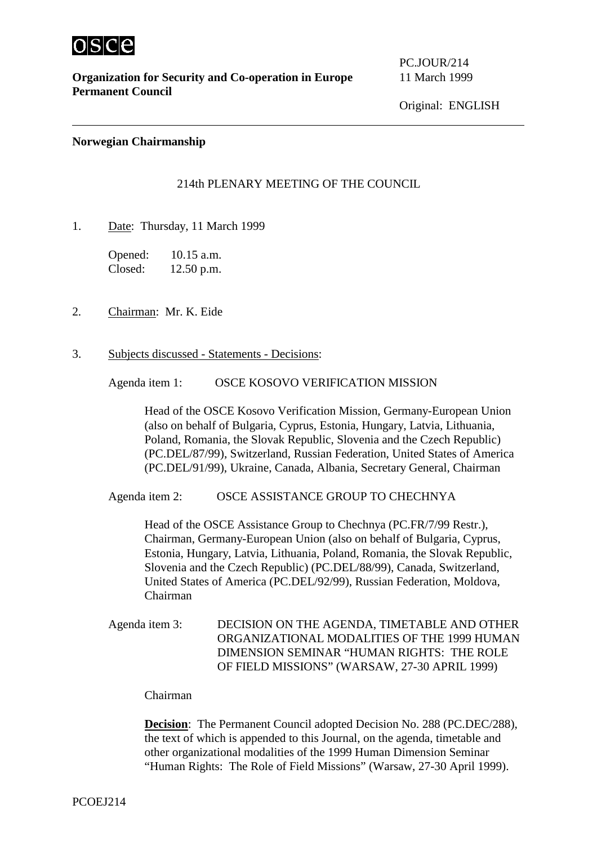

**Organization for Security and Co-operation in Europe** 11 March 1999 **Permanent Council**

PC.JOUR/214

### **Norwegian Chairmanship**

# 214th PLENARY MEETING OF THE COUNCIL

1. Date: Thursday, 11 March 1999

Opened: 10.15 a.m. Closed: 12.50 p.m.

- 2. Chairman: Mr. K. Eide
- 3. Subjects discussed Statements Decisions:

Agenda item 1: OSCE KOSOVO VERIFICATION MISSION

Head of the OSCE Kosovo Verification Mission, Germany-European Union (also on behalf of Bulgaria, Cyprus, Estonia, Hungary, Latvia, Lithuania, Poland, Romania, the Slovak Republic, Slovenia and the Czech Republic) (PC.DEL/87/99), Switzerland, Russian Federation, United States of America (PC.DEL/91/99), Ukraine, Canada, Albania, Secretary General, Chairman

Agenda item 2: OSCE ASSISTANCE GROUP TO CHECHNYA

Head of the OSCE Assistance Group to Chechnya (PC.FR/7/99 Restr.), Chairman, Germany-European Union (also on behalf of Bulgaria, Cyprus, Estonia, Hungary, Latvia, Lithuania, Poland, Romania, the Slovak Republic, Slovenia and the Czech Republic) (PC.DEL/88/99), Canada, Switzerland, United States of America (PC.DEL/92/99), Russian Federation, Moldova, Chairman

Agenda item 3: DECISION ON THE AGENDA, TIMETABLE AND OTHER ORGANIZATIONAL MODALITIES OF THE 1999 HUMAN DIMENSION SEMINAR "HUMAN RIGHTS: THE ROLE OF FIELD MISSIONS" (WARSAW, 27-30 APRIL 1999)

#### Chairman

**Decision**: The Permanent Council adopted Decision No. 288 (PC.DEC/288), the text of which is appended to this Journal, on the agenda, timetable and other organizational modalities of the 1999 Human Dimension Seminar "Human Rights: The Role of Field Missions" (Warsaw, 27-30 April 1999).